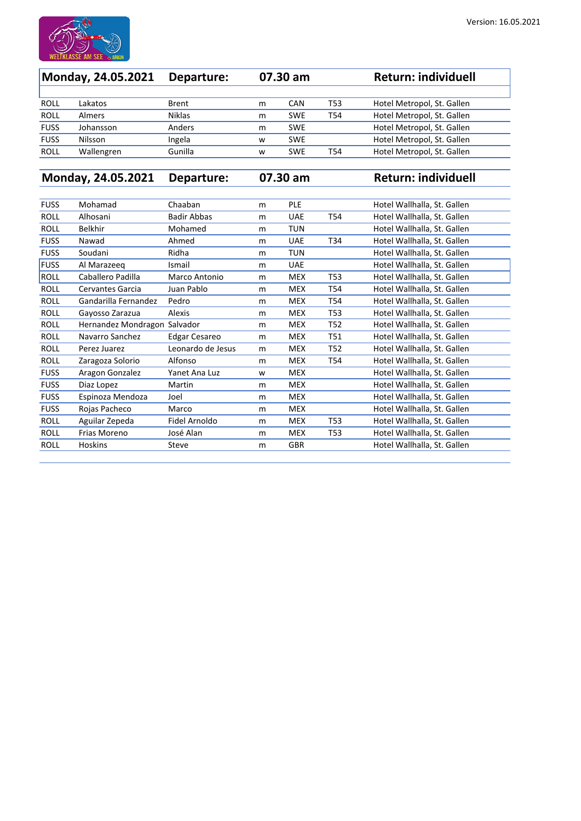

| Monday, 24.05.2021 |               | Departure:    |   | $07.30 \text{ am}$ |                 | <b>Return: individuell</b> |
|--------------------|---------------|---------------|---|--------------------|-----------------|----------------------------|
|                    |               |               |   |                    |                 |                            |
| <b>ROLL</b>        | Lakatos       | <b>Brent</b>  | m | <b>CAN</b>         | T <sub>53</sub> | Hotel Metropol, St. Gallen |
| <b>ROLL</b>        | <b>Almers</b> | <b>Niklas</b> | m | <b>SWE</b>         | T <sub>54</sub> | Hotel Metropol, St. Gallen |
| <b>FUSS</b>        | Johansson     | Anders        | m | <b>SWE</b>         |                 | Hotel Metropol, St. Gallen |
| <b>FUSS</b>        | Nilsson       | Ingela        | W | <b>SWE</b>         |                 | Hotel Metropol, St. Gallen |
| <b>ROLL</b>        | Wallengren    | Gunilla       | W | <b>SWE</b>         | T54             | Hotel Metropol, St. Gallen |

**Monday, 24.05.2021 Departure: 07.30 am Return: individuell**

| <b>FUSS</b> | Mohamad                 | Chaaban              | m | <b>PLE</b> |                 | Hotel Wallhalla, St. Gallen |
|-------------|-------------------------|----------------------|---|------------|-----------------|-----------------------------|
| <b>ROLL</b> | Alhosani                | <b>Badir Abbas</b>   | m | <b>UAE</b> | T54             | Hotel Wallhalla, St. Gallen |
| <b>ROLL</b> | <b>Belkhir</b>          | Mohamed              | m | <b>TUN</b> |                 | Hotel Wallhalla, St. Gallen |
| <b>FUSS</b> | Nawad                   | Ahmed                | m | <b>UAE</b> | T34             | Hotel Wallhalla, St. Gallen |
| <b>FUSS</b> | Soudani                 | Ridha                | m | <b>TUN</b> |                 | Hotel Wallhalla, St. Gallen |
| <b>FUSS</b> | Al Marazeeq             | Ismail               | m | <b>UAE</b> |                 | Hotel Wallhalla, St. Gallen |
| <b>ROLL</b> | Caballero Padilla       | Marco Antonio        | m | <b>MEX</b> | T53             | Hotel Wallhalla, St. Gallen |
| <b>ROLL</b> | <b>Cervantes Garcia</b> | Juan Pablo           | m | <b>MEX</b> | T54             | Hotel Wallhalla, St. Gallen |
| <b>ROLL</b> | Gandarilla Fernandez    | Pedro                | m | <b>MEX</b> | T54             | Hotel Wallhalla, St. Gallen |
| <b>ROLL</b> | Gayosso Zarazua         | Alexis               | m | <b>MEX</b> | <b>T53</b>      | Hotel Wallhalla, St. Gallen |
| <b>ROLL</b> | Hernandez Mondragon     | Salvador             | m | <b>MEX</b> | T <sub>52</sub> | Hotel Wallhalla, St. Gallen |
| <b>ROLL</b> | Navarro Sanchez         | <b>Edgar Cesareo</b> | m | <b>MEX</b> | T51             | Hotel Wallhalla, St. Gallen |
| <b>ROLL</b> | Perez Juarez            | Leonardo de Jesus    | m | <b>MEX</b> | T <sub>52</sub> | Hotel Wallhalla, St. Gallen |
| <b>ROLL</b> | Zaragoza Solorio        | Alfonso              | m | <b>MEX</b> | T54             | Hotel Wallhalla, St. Gallen |
| <b>FUSS</b> | Aragon Gonzalez         | Yanet Ana Luz        | W | <b>MEX</b> |                 | Hotel Wallhalla, St. Gallen |
| <b>FUSS</b> | Diaz Lopez              | Martin               | m | <b>MEX</b> |                 | Hotel Wallhalla, St. Gallen |
| <b>FUSS</b> | Espinoza Mendoza        | Joel                 | m | <b>MEX</b> |                 | Hotel Wallhalla, St. Gallen |
| <b>FUSS</b> | Rojas Pacheco           | Marco                | m | <b>MEX</b> |                 | Hotel Wallhalla, St. Gallen |
| <b>ROLL</b> | Aguilar Zepeda          | Fidel Arnoldo        | m | <b>MEX</b> | T53             | Hotel Wallhalla, St. Gallen |
| <b>ROLL</b> | Frias Moreno            | José Alan            | m | <b>MEX</b> | <b>T53</b>      | Hotel Wallhalla, St. Gallen |
| <b>ROLL</b> | <b>Hoskins</b>          | <b>Steve</b>         | m | <b>GBR</b> |                 | Hotel Wallhalla, St. Gallen |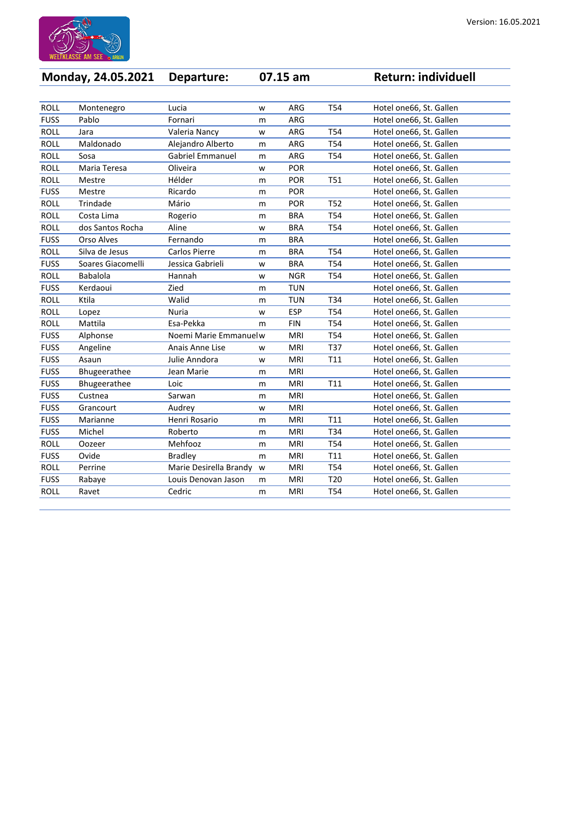

| Version: 16.05.2021 |  |  |  |  |
|---------------------|--|--|--|--|
|---------------------|--|--|--|--|

| Monday, 24.05.2021 |                   | Departure:              |   | 07.15 am   |                 | <b>Return: individuell</b> |
|--------------------|-------------------|-------------------------|---|------------|-----------------|----------------------------|
|                    |                   |                         |   |            |                 |                            |
| <b>ROLL</b>        | Montenegro        | Lucia                   | W | <b>ARG</b> | T54             | Hotel one66, St. Gallen    |
| <b>FUSS</b>        | Pablo             | Fornari                 | m | ARG        |                 | Hotel one66, St. Gallen    |
| <b>ROLL</b>        | Jara              | Valeria Nancy           | W | ARG        | T54             | Hotel one66, St. Gallen    |
| <b>ROLL</b>        | Maldonado         | Alejandro Alberto       | m | ARG        | T54             | Hotel one66, St. Gallen    |
| <b>ROLL</b>        | Sosa              | <b>Gabriel Emmanuel</b> | m | <b>ARG</b> | T54             | Hotel one66, St. Gallen    |
| <b>ROLL</b>        | Maria Teresa      | Oliveira                | W | <b>POR</b> |                 | Hotel one66, St. Gallen    |
| <b>ROLL</b>        | Mestre            | Hélder                  | m | <b>POR</b> | <b>T51</b>      | Hotel one66, St. Gallen    |
| <b>FUSS</b>        | Mestre            | Ricardo                 | m | <b>POR</b> |                 | Hotel one66, St. Gallen    |
| <b>ROLL</b>        | Trindade          | Mário                   | m | <b>POR</b> | T <sub>52</sub> | Hotel one66, St. Gallen    |
| <b>ROLL</b>        | Costa Lima        | Rogerio                 | m | <b>BRA</b> | T <sub>54</sub> | Hotel one66, St. Gallen    |
| <b>ROLL</b>        | dos Santos Rocha  | Aline                   | W | <b>BRA</b> | T <sub>54</sub> | Hotel one66, St. Gallen    |
| <b>FUSS</b>        | <b>Orso Alves</b> | Fernando                | m | <b>BRA</b> |                 | Hotel one66, St. Gallen    |
| <b>ROLL</b>        | Silva de Jesus    | <b>Carlos Pierre</b>    | m | <b>BRA</b> | T54             | Hotel one66, St. Gallen    |
| <b>FUSS</b>        | Soares Giacomelli | Jessica Gabrieli        | W | <b>BRA</b> | T54             | Hotel one66, St. Gallen    |
| <b>ROLL</b>        | <b>Babalola</b>   | Hannah                  | W | <b>NGR</b> | T54             | Hotel one66, St. Gallen    |
| <b>FUSS</b>        | Kerdaoui          | Zied                    | m | <b>TUN</b> |                 | Hotel one66, St. Gallen    |
| <b>ROLL</b>        | Ktila             | Walid                   | m | <b>TUN</b> | T34             | Hotel one66, St. Gallen    |
| <b>ROLL</b>        | Lopez             | <b>Nuria</b>            | W | <b>ESP</b> | T <sub>54</sub> | Hotel one66, St. Gallen    |
| <b>ROLL</b>        | Mattila           | Esa-Pekka               | m | <b>FIN</b> | T <sub>54</sub> | Hotel one66, St. Gallen    |
| <b>FUSS</b>        | Alphonse          | Noemi Marie Emmanuelw   |   | <b>MRI</b> | T54             | Hotel one66, St. Gallen    |
| <b>FUSS</b>        | Angeline          | Anais Anne Lise         | W | <b>MRI</b> | T37             | Hotel one66, St. Gallen    |
| <b>FUSS</b>        | Asaun             | Julie Anndora           | W | <b>MRI</b> | T <sub>11</sub> | Hotel one66, St. Gallen    |
| <b>FUSS</b>        | Bhugeerathee      | Jean Marie              | m | <b>MRI</b> |                 | Hotel one66, St. Gallen    |
| <b>FUSS</b>        | Bhugeerathee      | Loic                    | m | <b>MRI</b> | T11             | Hotel one66, St. Gallen    |
| <b>FUSS</b>        | Custnea           | Sarwan                  | m | <b>MRI</b> |                 | Hotel one66, St. Gallen    |
| <b>FUSS</b>        | Grancourt         | Audrey                  | W | <b>MRI</b> |                 | Hotel one66, St. Gallen    |
| <b>FUSS</b>        | Marianne          | Henri Rosario           | m | <b>MRI</b> | T11             | Hotel one66, St. Gallen    |
| <b>FUSS</b>        | Michel            | Roberto                 | m | <b>MRI</b> | T34             | Hotel one66, St. Gallen    |
| <b>ROLL</b>        | Oozeer            | Mehfooz                 | m | <b>MRI</b> | T54             | Hotel one66, St. Gallen    |
| <b>FUSS</b>        | Ovide             | <b>Bradley</b>          | m | <b>MRI</b> | T <sub>11</sub> | Hotel one66, St. Gallen    |
| <b>ROLL</b>        | Perrine           | Marie Desirella Brandy  | W | <b>MRI</b> | T54             | Hotel one66, St. Gallen    |
| <b>FUSS</b>        | Rabaye            | Louis Denovan Jason     | m | <b>MRI</b> | T <sub>20</sub> | Hotel one66, St. Gallen    |
| <b>ROLL</b>        | Ravet             | Cedric                  | m | MRI        | T54             | Hotel one66, St. Gallen    |